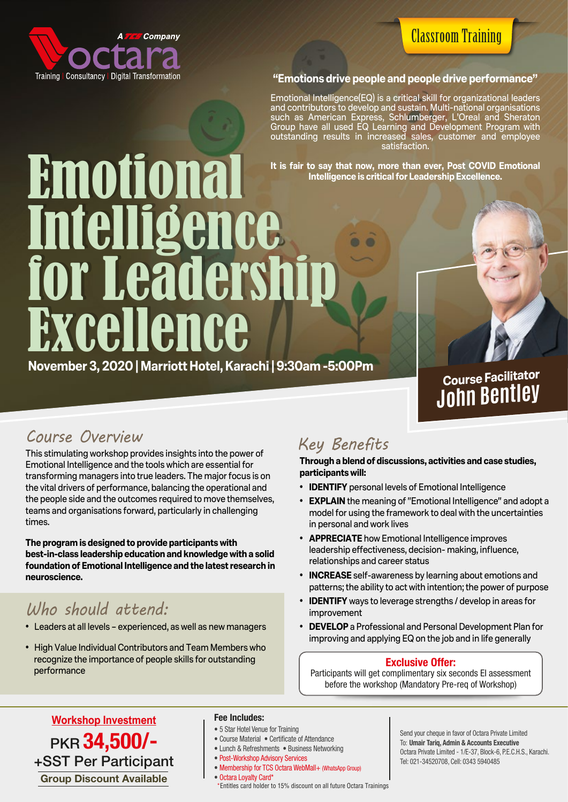

## Classroom Training

#### **"Emotions drive people and people drive performance"**

Emotional Intelligence(EQ) is a critical skill for organizational leaders and contributors to develop and sustain. Multi-national organisations such as American Express, Schlumberger, L'Oreal and Sheraton Group have all used EQ Learning and Development Program with outstanding results in increased sales, customer and employee satisfaction.

**It is fair to say that now, more than ever, Post COVID Emotional Intelligence is critical for Leadership Excellence.**

# Emotional Emotional Intelligence Intelligence for Leadership for Leadership Excellence Excellence

**November 3, 2020 | Marriott Hotel, Karachi | 9:30am -5:00Pm**

**Course Facilitator John Bentley**

### *Course Overview*

This stimulating workshop provides insights into the power of Emotional Intelligence and the tools which are essential for transforming managers into true leaders. The major focus is on the vital drivers of performance, balancing the operational and the people side and the outcomes required to move themselves, teams and organisations forward, particularly in challenging times.

**The program is designed to provide participants with best-in-class leadership education and knowledge with a solid foundation of Emotional Intelligence and the latest research in neuroscience.** 

## *Who should attend:*

- Leaders at all levels experienced, as well as new managers
- High Value Individual Contributors and Team Members who recognize the importance of people skills for outstanding performance

## *Key Benefits*

**Through a blend of discussions, activities and case studies, participants will:** 

- **IDENTIFY** personal levels of Emotional Intelligence
- **EXPLAIN** the meaning of "Emotional Intelligence" and adopt a model for using the framework to deal with the uncertainties in personal and work lives
- **APPRECIATE** how Emotional Intelligence improves leadership effectiveness, decision- making, influence, relationships and career status
- **INCREASE** self-awareness by learning about emotions and patterns; the ability to act with intention; the power of purpose
- **IDENTIFY** ways to leverage strengths / develop in areas for improvement
- **DEVELOP** a Professional and Personal Development Plan for improving and applying EQ on the job and in life generally

#### Exclusive Offer:

Participants will get complimentary six seconds EI assessment before the workshop (Mandatory Pre-req of Workshop)

PKR 34,500/-+SST Per Participant **Workshop Investment** Group Discount Available

#### **Fee Includes:**

- 5 Star Hotel Venue for Training
- Course Material Certificate of Attendance
- Lunch & Refreshments Business Networking
- Post-Workshop Advisory Services
- Membership for TCS Octara WebMall+ (WhatsApp Group) • Octara Loyalty Card\*
- \*Entitles card holder to 15% discount on all future Octara Trainings

Send your cheque in favor of Octara Private Limited To: Umair Tariq, Admin & Accounts Executive Octara Private Limited - 1/E-37, Block-6, P.E.C.H.S., Karachi. Tel: 021-34520708, Cell: 0343 5940485